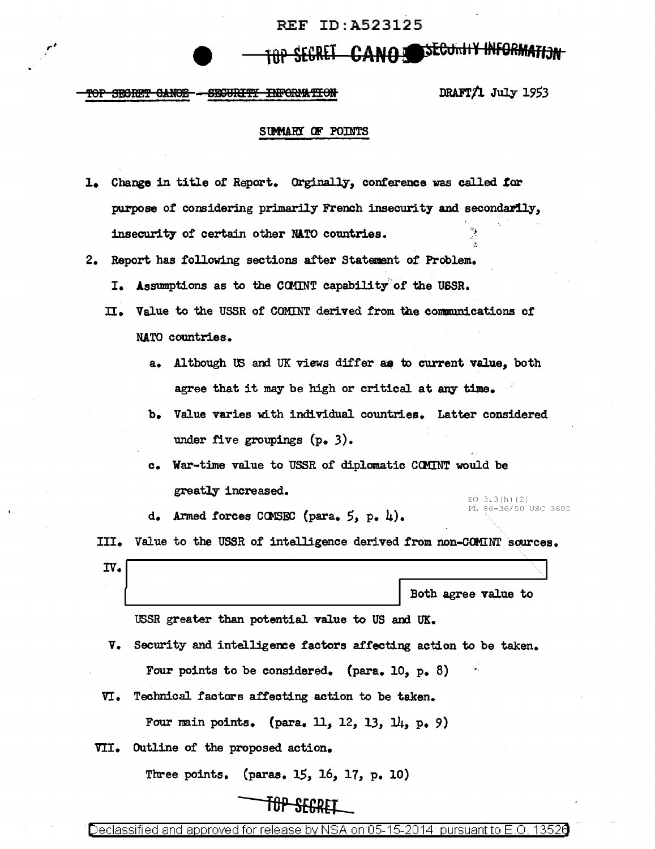## REF ID:A523125

# CANO <del>SECUMIY INFORMATION</del>

### SEGURITY INFORMATION <del>TOP SECRET CANOE</del>

DIWTfl July *1953* 

### SUMMARY OF POINTS

- 1. Change in title of Report. Orginally, conference was called for purpose of considering primarily French insecurity and secondarily, insecurity of certain other NATO countries.
- 2. Report has following sections after Statement of Problem.
	- I. Assumptions as to the COMINT capability of the USSR.
	- n. Value to the USSR of COMINT derived from the communications of NATO countries.
		- a. Although US and UK views differ as to current value, both agree that it may be high or critical at any time.
		- b. Value varies with individual countries. Latter considered under five groupings  $(p_{\bullet} 3)$ .
	- c. War-time value to USSR of diplomatic COMINT would be greatly increased. EO 3.3(h)(2)<br>PL 86-36/50 USC 3605 greatly increased.<br>
	d. Armed forces COMSEC (para. 5, p. 4).<br>
	II. Value to the USSR of intelligence derived from non-COMINT sources IV.<br>
	IV.<br>
	Both agree value to USSR greater than potential value to US and UK.
		- d. Armed forces COMSEC (para. 5, p. 4).

III. Value to the USSR of intelligence derived from non-COMINT sources.

USSR greater than potential value to US and UK.

- V. Security and intelligence factors affecting action to be taken. Four points to be considered. (para.  $10, p. 8$ )
- VI. Technical factors affecting action to be taken.

Four main points. (para. 11, 12, 13, 14, p. 9)

VII. Outline of the proposed action.

Three points. (paras. 15, 16, 17, p. 10)

## TOP SECRET

Declassified and approved for release by NSA on 05-15-2014 pursuant to E.O. 1352